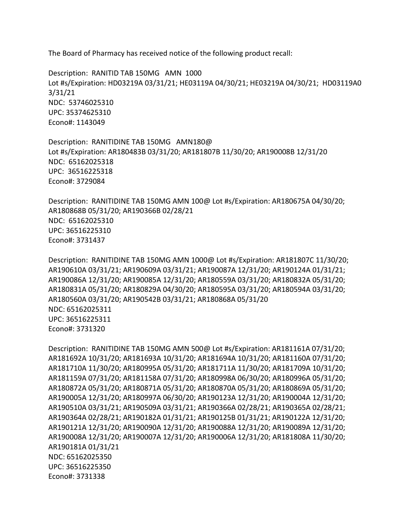The Board of Pharmacy has received notice of the following product recall:

 Description: RANITID TAB 150MG AMN 1000 NDC: 53746025310 Lot #s/Expiration: HD03219A 03/31/21; HE03119A 04/30/21; HE03219A 04/30/21; HD03119A0 3/31/21 UPC: 35374625310 Econo#: 1143049

 NDC: 65162025318 Description: RANITIDINE TAB 150MG AMN180@ Lot #s/Expiration: AR180483B 03/31/20; AR181807B 11/30/20; AR190008B 12/31/20 UPC: 36516225318 Econo#: 3729084

 AR180868B 05/31/20; AR190366B 02/28/21 NDC: 65162025310 Description: RANITIDINE TAB 150MG AMN 100@ Lot #s/Expiration: AR180675A 04/30/20; UPC: 36516225310 Econo#: 3731437

 AR190610A 03/31/21; AR190609A 03/31/21; AR190087A 12/31/20; AR190124A 01/31/21; AR190086A 12/31/20; AR190085A 12/31/20; AR180559A 03/31/20; AR180832A 05/31/20; AR180831A 05/31/20; AR180829A 04/30/20; AR180595A 03/31/20; AR180594A 03/31/20; AR180560A 03/31/20; AR190542B 03/31/21; AR180868A 05/31/20 Description: RANITIDINE TAB 150MG AMN 1000@ Lot #s/Expiration: AR181807C 11/30/20; NDC: 65162025311 UPC: 36516225311 Econo#: 3731320

```
 
AR181692A 10/31/20; AR181693A 10/31/20; AR181694A 10/31/20; AR181160A 07/31/20; 

AR181710A 11/30/20; AR180995A 05/31/20; AR181711A 11/30/20; AR181709A 10/31/20; 

AR181159A 07/31/20; AR181158A 07/31/20; AR180998A 06/30/20; AR180996A 05/31/20; 

AR180872A 05/31/20; AR180871A 05/31/20; AR180870A 05/31/20; AR180869A 05/31/20; 

AR190510A 03/31/21; AR190509A 03/31/21; AR190366A 02/28/21; AR190365A 02/28/21; 

AR190364A 02/28/21; AR190182A 01/31/21; AR190125B 01/31/21; AR190122A 12/31/20; 

AR190008A 12/31/20; AR190007A 12/31/20; AR190006A 12/31/20; AR181808A 11/30/20; 
Description: RANITIDINE TAB 150MG AMN 500@ Lot #s/Expiration: AR181161A 07/31/20; 
AR190005A 12/31/20; AR180997A 06/30/20; AR190123A 12/31/20; AR190004A 12/31/20; 
AR190121A 12/31/20; AR190090A 12/31/20; AR190088A 12/31/20; AR190089A 12/31/20; 
AR190181A 01/31/21 
NDC: 65162025350 
UPC: 36516225350 
Econo#: 3731338
```